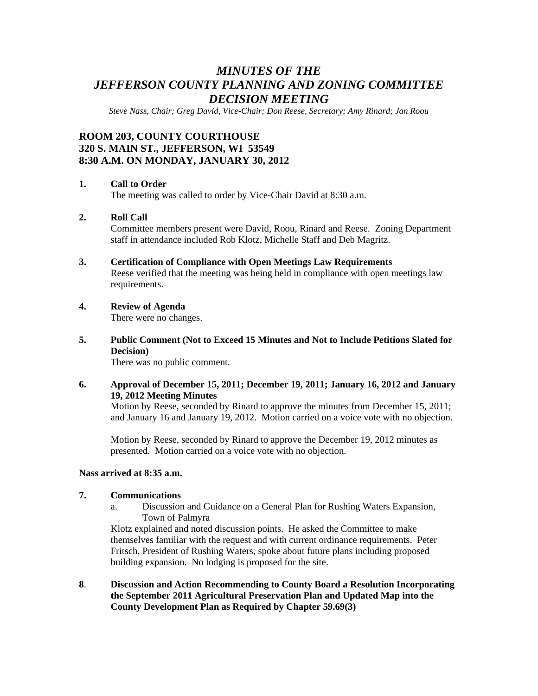# *MINUTES OF THE JEFFERSON COUNTY PLANNING AND ZONING COMMITTEE DECISION MEETING*

*Steve Nass, Chair; Greg David, Vice-Chair; Don Reese, Secretary; Amy Rinard; Jan Roou* 

# **ROOM 203, COUNTY COURTHOUSE 320 S. MAIN ST., JEFFERSON, WI 53549 8:30 A.M. ON MONDAY, JANUARY 30, 2012**

#### **1. Call to Order**

The meeting was called to order by Vice-Chair David at 8:30 a.m.

# **2. Roll Call**

Committee members present were David, Roou, Rinard and Reese. Zoning Department staff in attendance included Rob Klotz, Michelle Staff and Deb Magritz.

- **3. Certification of Compliance with Open Meetings Law Requirements**  Reese verified that the meeting was being held in compliance with open meetings law requirements.
- **4. Review of Agenda**

There were no changes.

**5. Public Comment (Not to Exceed 15 Minutes and Not to Include Petitions Slated for Decision)** 

There was no public comment.

#### **6. Approval of December 15, 2011; December 19, 2011; January 16, 2012 and January 19, 2012 Meeting Minutes**

Motion by Reese, seconded by Rinard to approve the minutes from December 15, 2011; and January 16 and January 19, 2012. Motion carried on a voice vote with no objection.

 Motion by Reese, seconded by Rinard to approve the December 19, 2012 minutes as presented. Motion carried on a voice vote with no objection.

#### **Nass arrived at 8:35 a.m.**

#### **7. Communications**

a. Discussion and Guidance on a General Plan for Rushing Waters Expansion, Town of Palmyra

Klotz explained and noted discussion points. He asked the Committee to make themselves familiar with the request and with current ordinance requirements. Peter Fritsch, President of Rushing Waters, spoke about future plans including proposed building expansion. No lodging is proposed for the site.

**8**. **Discussion and Action Recommending to County Board a Resolution Incorporating the September 2011 Agricultural Preservation Plan and Updated Map into the County Development Plan as Required by Chapter 59.69(3)**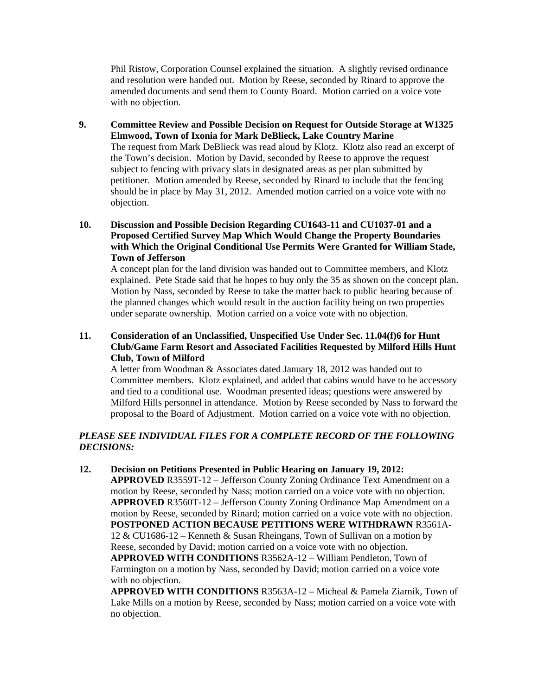Phil Ristow, Corporation Counsel explained the situation. A slightly revised ordinance and resolution were handed out. Motion by Reese, seconded by Rinard to approve the amended documents and send them to County Board. Motion carried on a voice vote with no objection.

#### **9. Committee Review and Possible Decision on Request for Outside Storage at W1325 Elmwood, Town of Ixonia for Mark DeBlieck, Lake Country Marine**  The request from Mark DeBlieck was read aloud by Klotz. Klotz also read an excerpt of the Town's decision. Motion by David, seconded by Reese to approve the request subject to fencing with privacy slats in designated areas as per plan submitted by petitioner. Motion amended by Reese, seconded by Rinard to include that the fencing should be in place by May 31, 2012. Amended motion carried on a voice vote with no

#### **10. Discussion and Possible Decision Regarding CU1643-11 and CU1037-01 and a Proposed Certified Survey Map Which Would Change the Property Boundaries with Which the Original Conditional Use Permits Were Granted for William Stade, Town of Jefferson**

objection.

 A concept plan for the land division was handed out to Committee members, and Klotz explained. Pete Stade said that he hopes to buy only the 35 as shown on the concept plan. Motion by Nass, seconded by Reese to take the matter back to public hearing because of the planned changes which would result in the auction facility being on two properties under separate ownership. Motion carried on a voice vote with no objection.

# **11. Consideration of an Unclassified, Unspecified Use Under Sec. 11.04(f)6 for Hunt Club/Game Farm Resort and Associated Facilities Requested by Milford Hills Hunt Club, Town of Milford**

A letter from Woodman & Associates dated January 18, 2012 was handed out to Committee members. Klotz explained, and added that cabins would have to be accessory and tied to a conditional use. Woodman presented ideas; questions were answered by Milford Hills personnel in attendance. Motion by Reese seconded by Nass to forward the proposal to the Board of Adjustment. Motion carried on a voice vote with no objection.

# *PLEASE SEE INDIVIDUAL FILES FOR A COMPLETE RECORD OF THE FOLLOWING DECISIONS:*

#### **12. Decision on Petitions Presented in Public Hearing on January 19, 2012:**

 **APPROVED** R3559T-12 – Jefferson County Zoning Ordinance Text Amendment on a motion by Reese, seconded by Nass; motion carried on a voice vote with no objection. **APPROVED** R3560T-12 – Jefferson County Zoning Ordinance Map Amendment on a motion by Reese, seconded by Rinard; motion carried on a voice vote with no objection. **POSTPONED ACTION BECAUSE PETITIONS WERE WITHDRAWN** R3561A-12 & CU1686-12 – Kenneth & Susan Rheingans, Town of Sullivan on a motion by Reese, seconded by David; motion carried on a voice vote with no objection. **APPROVED WITH CONDITIONS** R3562A-12 – William Pendleton, Town of Farmington on a motion by Nass, seconded by David; motion carried on a voice vote with no objection.

**APPROVED WITH CONDITIONS** R3563A-12 – Micheal & Pamela Ziarnik, Town of Lake Mills on a motion by Reese, seconded by Nass; motion carried on a voice vote with no objection.